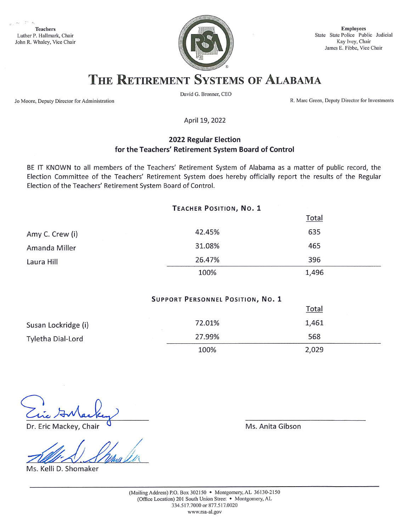**Teachers** Luther P. Hallmark, Chair John R. Whaley, Vice Chair



**Employees** State State Police Public Judicial Kay Ivey, Chair James E. Fibbe, Vice Chair

## THE RETIREMENT SYSTEMS OF ALABAMA

David G. Bronner, CEO

R. Marc Green, Deputy Director for Investments

Jo Moore, Deputy Director for Administration

April 19, 2022

## **2022 Regular Election** for the Teachers' Retirement System Board of Control

BE IT KNOWN to all members of the Teachers' Retirement System of Alabama as a matter of public record, the Election Committee of the Teachers' Retirement System does hereby officially report the results of the Regular Election of the Teachers' Retirement System Board of Control.

| <b>TEACHER POSITION, NO. 1</b> |        |       |
|--------------------------------|--------|-------|
|                                |        | Total |
| Amy C. Crew (i)                | 42.45% | 635   |
| Amanda Miller                  | 31.08% | 465   |
| Laura Hill                     | 26.47% | 396   |
|                                | 100%   | 1,496 |
|                                |        |       |

## SUPPORT PERSONNEL POSITION, NO. 1

|                     |        | <u>Total</u> |
|---------------------|--------|--------------|
| Susan Lockridge (i) | 72.01% | 1,461        |
| Tyletha Dial-Lord   | 27.99% | 568          |
|                     | 100%   | 2,029        |

Dr. Eric Mackey, Chair

Ms. Kelli D. Shomaker

Ms. Anita Gibson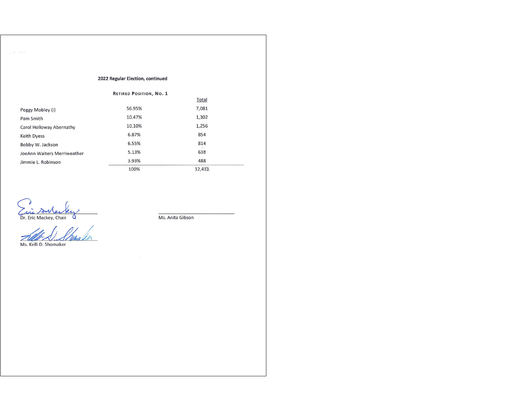#### 2022 Regular Election, continued

### RETIRED POSITION, NO. 1

|                             |        | Total   |  |
|-----------------------------|--------|---------|--|
| Peggy Mobley (i)            | 56.95% | 7,081   |  |
| Pam Smith                   | 10.47% | 1,302   |  |
| Carol Holloway Abernathy    | 10.10% | 1,256   |  |
| Keith Dyess                 | 6.87%  | 854     |  |
| Bobby W. Jackson            | 6.55%  | 814     |  |
| JoeAnn Waiters Merriweather | 5.13%  | 638     |  |
| Jimmie L. Robinson          | 3.93%  | 488     |  |
|                             | 100%   | 12,433. |  |

Dr. Eric Mackey, Chair

<u>Ihna Iv</u>

Ms. Kelli D. Shomaker

 $\varphi, \tilde{\mathcal{C}} \in \mathcal{C}$  is

Ms. Anita Gibson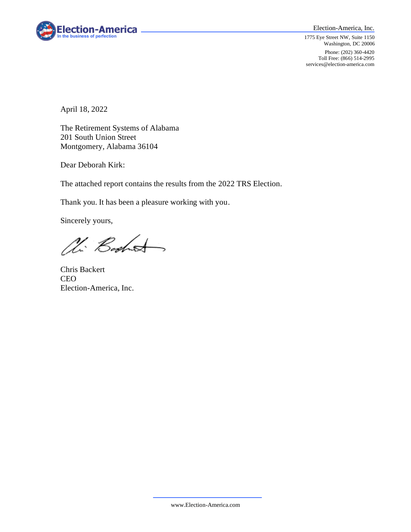

1775 Eye Street NW, Suite 1150 Washington, DC 20006

Phone: (202) 360-4420 Toll Free: (866) 514-2995 services@election-america.com

April 18, 2022

The Retirement Systems of Alabama 201 South Union Street Montgomery, Alabama 36104

Dear Deborah Kirk:

The attached report contains the results from the 2022 TRS Election.

Thank you. It has been a pleasure working with you.

Sincerely yours,

Wi Bookst

Chris Backert CEO Election-America, Inc.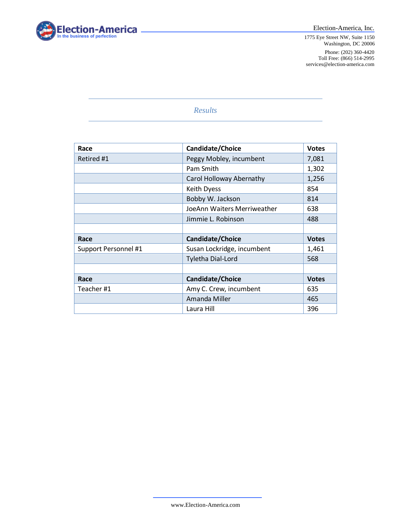

1775 Eye Street NW, Suite 1150 Washington, DC 20006

Phone: (202) 360-4420 Toll Free: (866) 514-2995 services@election-america.com

### *Results*

| Race                 | Candidate/Choice            | <b>Votes</b> |
|----------------------|-----------------------------|--------------|
| Retired #1           | Peggy Mobley, incumbent     | 7,081        |
|                      | Pam Smith                   | 1,302        |
|                      | Carol Holloway Abernathy    | 1,256        |
|                      | <b>Keith Dyess</b>          | 854          |
|                      | Bobby W. Jackson            | 814          |
|                      | JoeAnn Waiters Merriweather | 638          |
|                      | Jimmie L. Robinson          | 488          |
|                      |                             |              |
| Race                 | Candidate/Choice            | <b>Votes</b> |
| Support Personnel #1 | Susan Lockridge, incumbent  | 1,461        |
|                      | Tyletha Dial-Lord           | 568          |
|                      |                             |              |
| Race                 | Candidate/Choice            | <b>Votes</b> |
| Teacher #1           | Amy C. Crew, incumbent      | 635          |
|                      | Amanda Miller               | 465          |
|                      | Laura Hill                  | 396          |